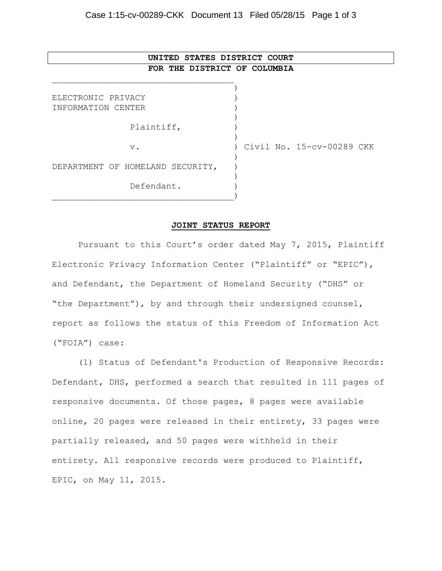## **UNITED STATES DISTRICT COURT FOR THE DISTRICT OF COLUMBIA**

\_\_\_\_\_\_\_\_\_\_\_\_\_\_\_\_\_\_\_\_\_\_\_\_\_\_\_\_\_\_\_\_\_\_\_

| ELECTRONIC PRIVACY               |                           |
|----------------------------------|---------------------------|
| INFORMATION CENTER               |                           |
|                                  |                           |
| Plaintiff,                       |                           |
|                                  |                           |
| $V$ .                            | Civil No. 15-cv-00289 CKK |
|                                  |                           |
| DEPARTMENT OF HOMELAND SECURITY, |                           |
|                                  |                           |
| Defendant.                       |                           |
|                                  |                           |

## **JOINT STATUS REPORT**

Pursuant to this Court's order dated May 7, 2015, Plaintiff Electronic Privacy Information Center ("Plaintiff" or "EPIC"), and Defendant, the Department of Homeland Security ("DHS" or "the Department"), by and through their undersigned counsel, report as follows the status of this Freedom of Information Act ("FOIA") case:

(1) Status of Defendant's Production of Responsive Records: Defendant, DHS, performed a search that resulted in 111 pages of responsive documents. Of those pages, 8 pages were available online, 20 pages were released in their entirety, 33 pages were partially released, and 50 pages were withheld in their entirety. All responsive records were produced to Plaintiff, EPIC, on May 11, 2015.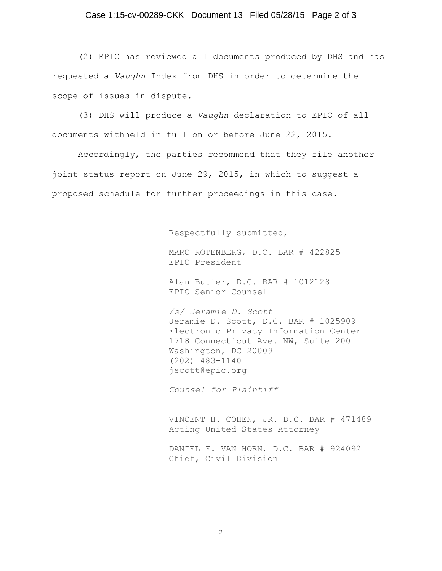## Case 1:15-cv-00289-CKK Document 13 Filed 05/28/15 Page 2 of 3

(2) EPIC has reviewed all documents produced by DHS and has requested a *Vaughn* Index from DHS in order to determine the scope of issues in dispute.

(3) DHS will produce a *Vaughn* declaration to EPIC of all documents withheld in full on or before June 22, 2015.

Accordingly, the parties recommend that they file another joint status report on June 29, 2015, in which to suggest a proposed schedule for further proceedings in this case.

Respectfully submitted,

MARC ROTENBERG, D.C. BAR # 422825 EPIC President

Alan Butler, D.C. BAR # 1012128 EPIC Senior Counsel

*/s/ Jeramie D. Scott*  Jeramie D. Scott, D.C. BAR # 1025909 Electronic Privacy Information Center 1718 Connecticut Ave. NW, Suite 200 Washington, DC 20009 (202) 483-1140 jscott@epic.org

*Counsel for Plaintiff*

VINCENT H. COHEN, JR. D.C. BAR # 471489 Acting United States Attorney

DANIEL F. VAN HORN, D.C. BAR # 924092 Chief, Civil Division